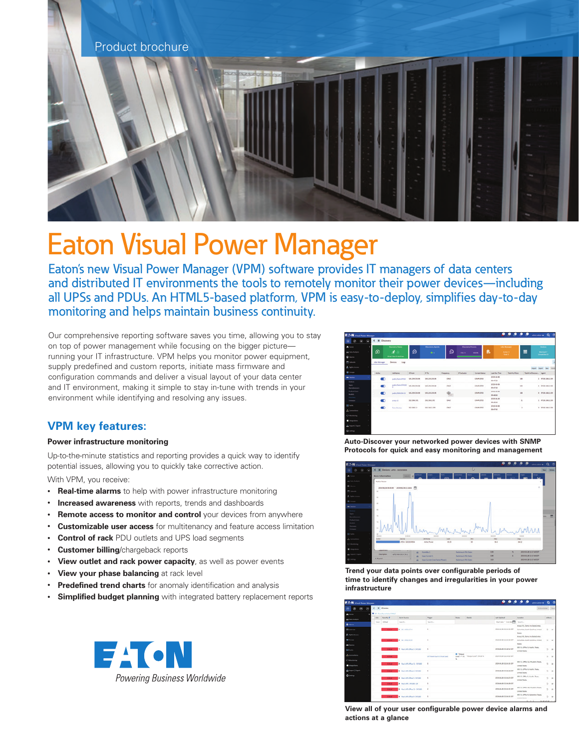

# Eaton Visual Power Manager

Eaton's new Visual Power Manager (VPM) software provides IT managers of data centers and distributed IT environments the tools to remotely monitor their power devices—including all UPSs and PDUs. An HTML5-based platform, VPM is easy-to-deploy, simplifies day-to-day monitoring and helps maintain business continuity.

Our comprehensive reporting software saves you time, allowing you to stay on top of power management while focusing on the bigger picture running your IT infrastructure. VPM helps you monitor power equipment, supply predefined and custom reports, initiate mass firmware and configuration commands and deliver a visual layout of your data center and IT environment, making it simple to stay in-tune with trends in your environment while identifying and resolving any issues.

### **VPM key features:**

#### **Power infrastructure monitoring**

Up-to-the-minute statistics and reporting provides a quick way to identify potential issues, allowing you to quickly take corrective action.

With VPM, you receive:

- **Real-time alarms** to help with power infrastructure monitoring
- **Increased awareness** with reports, trends and dashboards
- **Remote access to monitor and control** your devices from anywhere
- **Customizable user access** for multitenancy and feature access limitation
- **Control of rack** PDU outlets and UPS load segments
- **Customer billing**/chargeback reports
- **View outlet and rack power capacity**, as well as power events
- **View your phase balancing** at rack level
- **Predefined trend charts** for anomaly identification and analysis
- **Simplified budget planning** with integrated battery replacement reports



| A lives                                       |                       | <b>Dacomry Vialue</b>             |                    | <b>Discovery Agrees</b> |                 | <b>Discovery Process</b> |                      |                        | <b>SAN MARINE</b>                |                        | <b>Dealers</b>                |
|-----------------------------------------------|-----------------------|-----------------------------------|--------------------|-------------------------|-----------------|--------------------------|----------------------|------------------------|----------------------------------|------------------------|-------------------------------|
| <b>BE FRIDAVIOUS</b>                          | ø                     | 牙                                 | ø                  | $\bullet$               | ø               | 20670                    | 100.0%               | 島                      | <b>Artist S</b><br><b>Send 1</b> | ≡                      | Market F<br><b>Imported 6</b> |
| $Q$ Harm                                      |                       | <b>Black buy Direct Ban</b>       |                    |                         |                 |                          |                      |                        |                                  |                        |                               |
| Colember                                      | <b>Julie Microger</b> | Dences Lives                      |                    |                         |                 |                          |                      |                        |                                  |                        |                               |
| <b>C. Highly Rooms</b>                        |                       |                                   |                    |                         |                 |                          |                      |                        |                                  |                        | <b>State Corp.</b>            |
| <b>GB</b> Groups                              | Athen                 | Job Name                          | <b>W From</b>      | 18.56                   | Explanes        | P Exturion               | <b>Served Status</b> | Leather Time           | <b>Turned at Stures</b>          | Soule of Summer. Agent |                               |
| <b>B</b> Drawn<br>Opening                     | m                     | aublic/EuropetAto.com  SHEZERLOOM |                    | 345,285,255,88          | <b>CACE</b>     |                          | COMMUTEE             | 1019-16-08<br>004729   | 188                              |                        | 1 M1N11882.000                |
| hann.<br>Manufacturers                        | $\bullet$             | MOLICLES 0070-minutes             |                    | 545,234,253,88          | ONCE            |                          | COMPLETED            | 2019-26-08<br>0547.08  | 190                              |                        | 1 9950 1662 100               |
| <b><i><u>Product Lines</u></i></b><br>Models. | $\blacksquare$        | public/EMAZIN.3D BRL20N200.00     |                    | 545.246.203.66          | $\Phi_{\alpha}$ |                          | <b>GOAM FREE</b>     | 1010-06-08<br>20,4634  | 188                              |                        | 8 MINI 1483.106               |
| Discovery<br>-                                | $\bullet$             | prompt will                       | INL1AN.2.PE        | 242, 244, 2, 313        | GALLY           |                          | <b>GONNA FRE</b>     | 3009-06-08<br>09:49.16 | ss.                              |                        | 1 9710-1462-209               |
| <b>El facio</b><br>A Convention               | $\blacksquare$        | <b>Toma Development</b>           | <b>ISO 188.2.2</b> | 161 168 3 398           | out             |                          | COMMUTEE:            | Mob-M-IM<br>(0.67A)    | $\sim$                           |                        | 1 9110 148 1 100              |
| C Models                                      |                       |                                   |                    |                         |                 |                          |                      |                        |                                  |                        |                               |
| E Integrations                                |                       |                                   |                    |                         |                 |                          |                      |                        |                                  |                        |                               |
| <b>A. Import   Equat</b>                      |                       |                                   |                    |                         |                 |                          |                      |                        |                                  |                        |                               |
| <b>O</b> Settings                             |                       |                                   |                    |                         |                 |                          |                      |                        |                                  |                        |                               |

**Auto-Discover your networked power devices with SNMP Protocols for quick and easy monitoring and management**



**Trend your data points over configurable periods of time to identify changes and irregularities in your power infrastructure**

| <b>F.T.N.</b> , Vousi Fower Manager         |         |                            |                                             |                                   |                           |                                   | ه ه ه                         | $\bullet$<br>ு<br>$\mathbf{a} = \mathbf{a} + \mathbf{b} + \mathbf{c} + \mathbf{c} + \mathbf{c} + \mathbf{c} + \mathbf{c} + \mathbf{c} + \mathbf{c} + \mathbf{c} + \mathbf{c} + \mathbf{c} + \mathbf{c} + \mathbf{c} + \mathbf{c} + \mathbf{c} + \mathbf{c} + \mathbf{c} + \mathbf{c} + \mathbf{c} + \mathbf{c} + \mathbf{c} + \mathbf{c} + \mathbf{c} + \mathbf{c} + \mathbf{c} + \mathbf{c} + \mathbf{c} + \mathbf{c} + \mathbf{c} + \mathbf$ |          |                   |
|---------------------------------------------|---------|----------------------------|---------------------------------------------|-----------------------------------|---------------------------|-----------------------------------|-------------------------------|------------------------------------------------------------------------------------------------------------------------------------------------------------------------------------------------------------------------------------------------------------------------------------------------------------------------------------------------------------------------------------------------------------------------------------------------|----------|-------------------|
| $\circ$<br>$\circ$                          | $\circ$ | <b>H</b> Alarms            |                                             |                                   |                           |                                   |                               |                                                                                                                                                                                                                                                                                                                                                                                                                                                |          | Arkensteige Clear |
| A lamp                                      |         | T All Search certain front |                                             |                                   |                           |                                   |                               |                                                                                                                                                                                                                                                                                                                                                                                                                                                |          |                   |
| as Data Analysis                            |         | All - Scottle IF           | Alarm Source                                | <b>Tripper</b>                    | <b>Bulet</b>              | <b>Dutury</b>                     | <b>Lui Dubini</b>             | <b>Louisville</b>                                                                                                                                                                                                                                                                                                                                                                                                                              | Ameri    |                   |
| 2 <sub>km</sub>                             |         | teer I group               | Search -                                    | Search -                          |                           |                                   | Sintener Today                | Starting                                                                                                                                                                                                                                                                                                                                                                                                                                       |          |                   |
| <b>PI</b> Selendar<br><b>A</b> Harts-Assess |         | Commer-                    | F. N. White Miles                           | ×                                 |                           |                                   | 3018-36-28 11:36:30-037       | Areak #1, Demo we DataConter,<br>Columbia, South Carolina, United<br><b>States</b>                                                                                                                                                                                                                                                                                                                                                             |          | $0 - m$           |
| <b>IS</b> Groups<br><b>Building</b>         |         | <b>TIME AT</b>             | <b>E MARQUES</b>                            | $\alpha$                          |                           |                                   | 3019-06-28 11:26 51:027       | Aves, PL Benc Int Estatement<br>Countra, South Carolina, United<br>Shahara                                                                                                                                                                                                                                                                                                                                                                     |          | $D - B$           |
| <b>If hales</b>                             |         | <b>Comme</b>               | <b>V</b> Buck calls (allies 3) simples      | $\sim$                            |                           |                                   | <b>STRANDE TRANSFER</b>       | 101, 11, 070cc S.Audito, South<br>United States                                                                                                                                                                                                                                                                                                                                                                                                |          | $D - M$           |
| <b>A</b> Connections<br>Ch Montoring        |         | <b>Artist</b>              |                                             | <b>UPS Redimbert O'Blat Lived</b> | <b>O</b> 'Union<br>$\sim$ | staf in its "Output'sma": 002016. | 3019-06-28 13-24:52-027       |                                                                                                                                                                                                                                                                                                                                                                                                                                                |          | $2 - n$           |
| <i><u><b>A</b></u></i> Integrations         |         | <b>College</b>             | P. Radi LPS Office SZ - SPONS               | $\mathbb{R}$                      |                           |                                   | 3019-06-28 11:24:31 027       | 104, FL Office 12, Mounton, News,<br>Limited States                                                                                                                                                                                                                                                                                                                                                                                            |          | $5 - 0$           |
| <b>A. Import   Grant</b>                    |         | <b>Consul</b>              | <b>b</b> Auto 1994 Office A - Services      | ×                                 |                           |                                   | JEEN-ON-DR 10-24-24-027       | 101, FL Office K. Austri, Texas.<br>United States                                                                                                                                                                                                                                                                                                                                                                                              |          | $D - H$           |
| <b>O</b> limited                            |         | <b>Comme</b>               | <b>A</b> - Awds LAS Calling S., Groceral    | $\sim$                            |                           |                                   | <b>JOSS-NLJS 11-26-21-037</b> | IDI, FL Office L. Audito, Texas.<br>Unified Males                                                                                                                                                                                                                                                                                                                                                                                              |          | $D - H$           |
|                                             |         | Concal                     | 1. Auch LPS - SPORTS - DR                   | $\mathbb{R}$                      |                           |                                   | JOSHUA ZR 10.24-28-027        |                                                                                                                                                                                                                                                                                                                                                                                                                                                | 2.5      | $\rightarrow$     |
|                                             |         | <b>College</b>             | <b>A</b> - Auch calls deliver to - Simonski | $\overline{a}$                    |                           |                                   | 3016-04-26 15:26:81.028       | 124, FL OWLA 20, No. 4504, Touri<br>Limited States                                                                                                                                                                                                                                                                                                                                                                                             | $\alpha$ | $\sim$            |
|                                             |         | <b>Concert</b>             | <b>K. Back of Collag K. Streets</b>         | $\sim$                            |                           |                                   | JEEN-DRUP 13 UN BE GOT        | (DI, FL Office S. Salveston, Sean)<br><b>CONTRACTOR</b><br>.                                                                                                                                                                                                                                                                                                                                                                                   | o.       | $\rightarrow$     |

**View all of your user configurable power device alarms and actions at a glance**